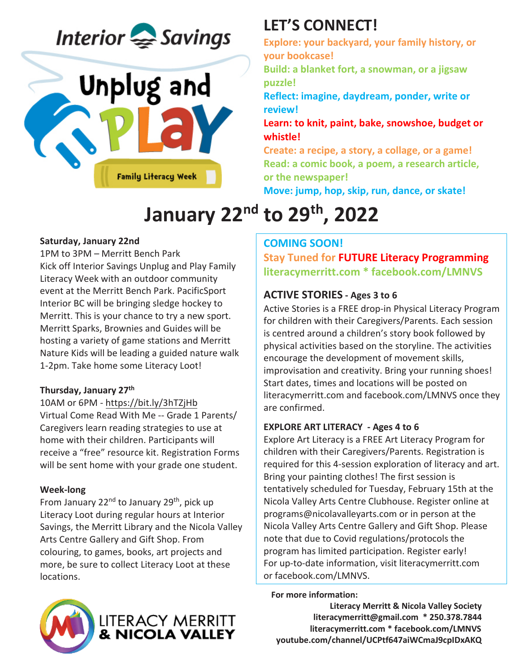



# **LET'S CONNECT!**

**Explore: your backyard, your family history, or your bookcase!**

**Build: a blanket fort, a snowman, or a jigsaw puzzle!** 

**Reflect: imagine, daydream, ponder, write or review!**

**Learn: to knit, paint, bake, snowshoe, budget or whistle!**

**Create: a recipe, a story, a collage, or a game! Read: a comic book, a poem, a research article, or the newspaper!**

**Move: jump, hop, skip, run, dance, or skate!**

# **January 22nd to 29th, 2022**

#### **Saturday, January 22nd**

1PM to 3PM – Merritt Bench Park Kick off Interior Savings Unplug and Play Family Literacy Week with an outdoor community event at the Merritt Bench Park. PacificSport Interior BC will be bringing sledge hockey to Merritt. This is your chance to try a new sport. Merritt Sparks, Brownies and Guides will be hosting a variety of game stations and Merritt Nature Kids will be leading a guided nature walk 1-2pm. Take home some Literacy Loot!

#### **Thursday, January 27th**

#### 10AM or 6PM - https://bit.ly/3hTZjHb

Virtual Come Read With Me -- Grade 1 Parents/ Caregivers learn reading strategies to use at home with their children. Participants will receive a "free" resource kit. Registration Forms will be sent home with your grade one student.

#### **Week-long**

From January 22 $^{nd}$  to January 29<sup>th</sup>, pick up Literacy Loot during regular hours at Interior Savings, the Merritt Library and the Nicola Valley Arts Centre Gallery and Gift Shop. From colouring, to games, books, art projects and more, be sure to collect Literacy Loot at these locations.

### **COMING SOON!**

**Stay Tuned for FUTURE Literacy Programming literacymerritt.com \* facebook.com/LMNVS** 

### **ACTIVE STORIES - Ages 3 to 6**

Active Stories is a FREE drop-in Physical Literacy Program for children with their Caregivers/Parents. Each session is centred around a children's story book followed by physical activities based on the storyline. The activities encourage the development of movement skills, improvisation and creativity. Bring your running shoes! Start dates, times and locations will be posted on literacymerritt.com and facebook.com/LMNVS once they are confirmed.

#### **EXPLORE ART LITERACY - Ages 4 to 6**

Explore Art Literacy is a FREE Art Literacy Program for children with their Caregivers/Parents. Registration is required for this 4-session exploration of literacy and art. Bring your painting clothes! The first session is tentatively scheduled for Tuesday, February 15th at the Nicola Valley Arts Centre Clubhouse. Register online at programs@nicolavalleyarts.com or in person at the Nicola Valley Arts Centre Gallery and Gift Shop. Please note that due to Covid regulations/protocols the program has limited participation. Register early! For up-to-date information, visit literacymerritt.com or facebook.com/LMNVS.

#### **For more information:**

**Literacy Merritt & Nicola Valley Society literacymerritt@gmail.com \* 250.378.7844 literacymerritt.com \* facebook.com/LMNVS youtube.com/channel/UCPtf647aiWCmaJ9cpIDxAKQ**